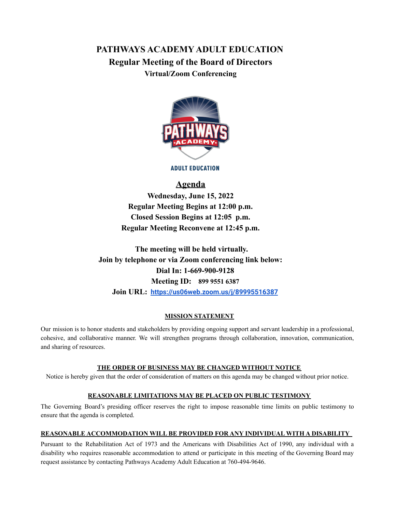# **PATHWAYS ACADEMY ADULT EDUCATION Regular Meeting of the Board of Directors Virtual/Zoom Conferencing**



**ADULT EDUCATION** 

## **Agenda**

**Wednesday, June 15, 2022 Regular Meeting Begins at 12:00 p.m. Closed Session Begins at 12:05 p.m. Regular Meeting Reconvene at 12:45 p.m.**

**The meeting will be held virtually. Join by telephone or via Zoom conferencing link below: Dial In: 1-669-900-9128 Meeting ID: 899 9551 6387 Join URL: <https://us06web.zoom.us/j/89995516387>**

### **MISSION STATEMENT**

Our mission is to honor students and stakeholders by providing ongoing support and servant leadership in a professional, cohesive, and collaborative manner. We will strengthen programs through collaboration, innovation, communication, and sharing of resources.

#### **THE ORDER OF BUSINESS MAY BE CHANGED WITHOUT NOTICE**

Notice is hereby given that the order of consideration of matters on this agenda may be changed without prior notice.

#### **REASONABLE LIMITATIONS MAY BE PLACED ON PUBLIC TESTIMONY**

The Governing Board's presiding officer reserves the right to impose reasonable time limits on public testimony to ensure that the agenda is completed.

#### **REASONABLE ACCOMMODATION WILL BE PROVIDED FOR ANY INDIVIDUAL WITH A DISABILITY**

Pursuant to the Rehabilitation Act of 1973 and the Americans with Disabilities Act of 1990, any individual with a disability who requires reasonable accommodation to attend or participate in this meeting of the Governing Board may request assistance by contacting Pathways Academy Adult Education at 760-494-9646.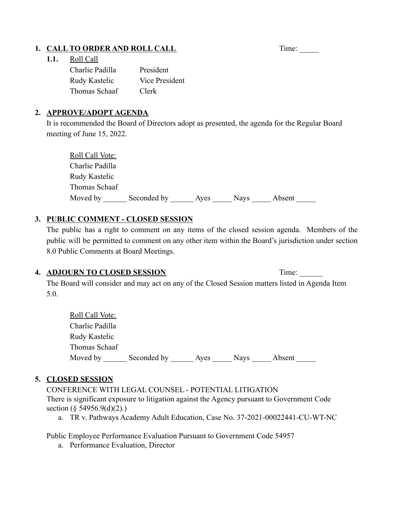# **1. CALL TO ORDER AND ROLL CALL** Time: \_\_\_\_\_\_

### **1.1.** Roll Call

| Charlie Padilla | President      |
|-----------------|----------------|
| Rudy Kastelic   | Vice President |
| Thomas Schaaf   | Clerk          |

### **2. APPROVE/ADOPT AGENDA**

It is recommended the Board of Directors adopt as presented, the agenda for the Regular Board meeting of June 15, 2022.

| Roll Call Vote: |             |      |             |        |
|-----------------|-------------|------|-------------|--------|
| Charlie Padilla |             |      |             |        |
| Rudy Kastelic   |             |      |             |        |
| Thomas Schaaf   |             |      |             |        |
| Moved by        | Seconded by | Ayes | <b>Nays</b> | Absent |

## **3. PUBLIC COMMENT - CLOSED SESSION**

The public has a right to comment on any items of the closed session agenda. Members of the public will be permitted to comment on any other item within the Board's jurisdiction under section 8.0 Public Comments at Board Meetings.

### **4. ADJOURN TO CLOSED SESSION** Time: \_\_\_\_\_\_

The Board will consider and may act on any of the Closed Session matters listed in Agenda Item 5.0.

| <b>Roll Call Vote:</b> |             |      |             |        |
|------------------------|-------------|------|-------------|--------|
| Charlie Padilla        |             |      |             |        |
| Rudy Kastelic          |             |      |             |        |
| Thomas Schaaf          |             |      |             |        |
| Moved by               | Seconded by | Aves | <b>Navs</b> | Absent |

## **5. CLOSED SESSION**

CONFERENCE WITH LEGAL COUNSEL - POTENTIAL LITIGATION There is significant exposure to litigation against the Agency pursuant to Government Code section (§ 54956.9(d)(2).)

a. TR v. Pathways Academy Adult Education, Case No. 37-2021-00022441-CU-WT-NC

Public Employee Performance Evaluation Pursuant to Government Code 54957

a. Performance Evaluation, Director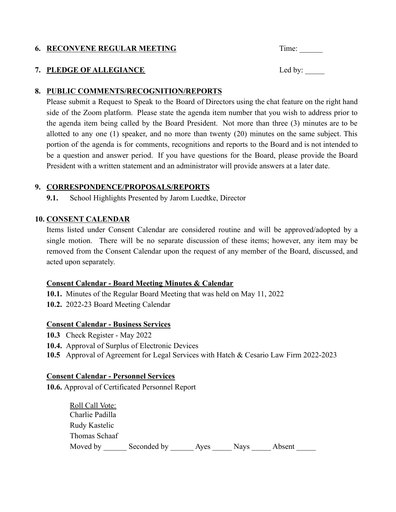# **6.** RECONVENE REGULAR MEETING Time: \_\_\_\_\_\_\_

# **7. PLEDGE OF ALLEGIANCE** Led by: \_\_\_\_\_

### **8. PUBLIC COMMENTS/RECOGNITION/REPORTS**

Please submit a Request to Speak to the Board of Directors using the chat feature on the right hand side of the Zoom platform. Please state the agenda item number that you wish to address prior to the agenda item being called by the Board President. Not more than three (3) minutes are to be allotted to any one (1) speaker, and no more than twenty (20) minutes on the same subject. This portion of the agenda is for comments, recognitions and reports to the Board and is not intended to be a question and answer period. If you have questions for the Board, please provide the Board President with a written statement and an administrator will provide answers at a later date.

### **9. CORRESPONDENCE/PROPOSALS/REPORTS**

**9.1.** School Highlights Presented by Jarom Luedtke, Director

### **10. CONSENT CALENDAR**

Items listed under Consent Calendar are considered routine and will be approved/adopted by a single motion. There will be no separate discussion of these items; however, any item may be removed from the Consent Calendar upon the request of any member of the Board, discussed, and acted upon separately.

### **Consent Calendar - Board Meeting Minutes & Calendar**

**10.1.** Minutes of the Regular Board Meeting that was held on May 11, 2022

**10.2.** 2022-23 Board Meeting Calendar

### **Consent Calendar - Business Services**

- **10.3** Check Register May 2022
- **10.4.** Approval of Surplus of Electronic Devices

**10.5** Approval of Agreement for Legal Services with Hatch & Cesario Law Firm 2022-2023

### **Consent Calendar - Personnel Services**

**10.6.** Approval of Certificated Personnel Report

| Roll Call Vote: |             |      |             |        |
|-----------------|-------------|------|-------------|--------|
| Charlie Padilla |             |      |             |        |
| Rudy Kastelic   |             |      |             |        |
| Thomas Schaaf   |             |      |             |        |
| Moved by        | Seconded by | Aves | <b>Navs</b> | Absent |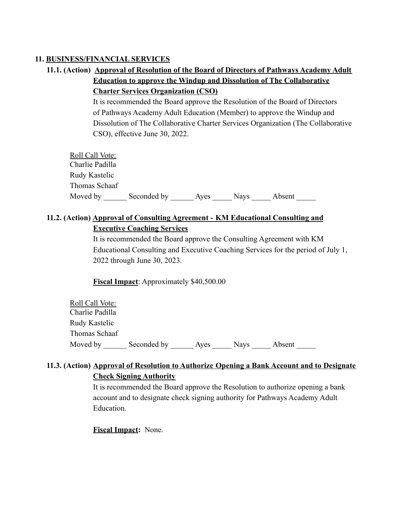### **11. BUSINESS/FINANCIAL SERVICES**

**11.1. (Action) Approval of Resolution of the Board of Directors of Pathways Academy Adult Education to approve the Windup and Dissolution of The Collaborative Charter Services Organization (CSO)**

> It is recommended the Board approve the Resolution of the Board of Directors of Pathways Academy Adult Education (Member) to approve the Windup and Dissolution of The Collaborative Charter Services Organization (The Collaborative CSO), effective June 30, 2022.

| Roll Call Vote: |             |      |             |        |  |
|-----------------|-------------|------|-------------|--------|--|
| Charlie Padilla |             |      |             |        |  |
| Rudy Kastelic   |             |      |             |        |  |
| Thomas Schaaf   |             |      |             |        |  |
| Moved by        | Seconded by | Aves | <b>Nays</b> | Absent |  |

## **11.2. (Action) Approval of Consulting Agreement - KM Educational Consulting and Executive Coaching Services**

It is recommended the Board approve the Consulting Agreement with KM Educational Consulting and Executive Coaching Services for the period of July 1, 2022 through June 30, 2023.

**Fiscal Impact**: Approximately \$40,500.00

| Roll Call Vote: |             |      |             |        |
|-----------------|-------------|------|-------------|--------|
| Charlie Padilla |             |      |             |        |
| Rudy Kastelic   |             |      |             |        |
| Thomas Schaaf   |             |      |             |        |
| Moved by        | Seconded by | Aves | <b>Nays</b> | Absent |

## **11.3. (Action) Approval of Resolution to Authorize Opening a Bank Account and to Designate Check Signing Authority**

It is recommended the Board approve the Resolution to authorize opening a bank account and to designate check signing authority for Pathways Academy Adult Education.

### **Fiscal Impact:** None.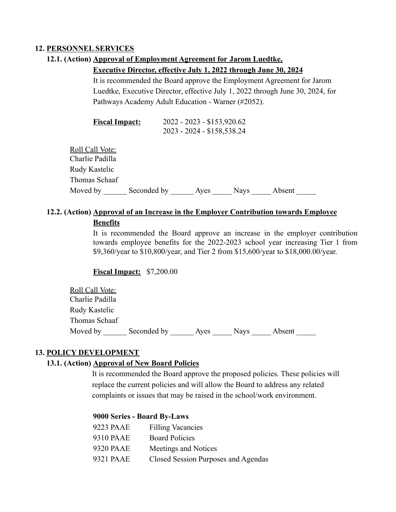### **12. PERSONNEL SERVICES**

### **12.1. (Action) Approval of Employment Agreement for Jarom Luedtke,**

#### **Executive Director, effective July 1, 2022 through June 30, 2024**

It is recommended the Board approve the Employment Agreement for Jarom Luedtke, Executive Director, effective July 1, 2022 through June 30, 2024, for Pathways Academy Adult Education - Warner (#2052).

| <b>Fiscal Impact:</b> | 2022 - 2023 - \$153,920.62 |
|-----------------------|----------------------------|
|                       | 2023 - 2024 - \$158,538.24 |

Roll Call Vote: Charlie Padilla Rudy Kastelic Thomas Schaaf Moved by deconded by Ayes Nays Absent

### **12.2. (Action) Approval of an Increase in the Employer Contribution towards Employee**

### **Benefits**

It is recommended the Board approve an increase in the employer contribution towards employee benefits for the 2022-2023 school year increasing Tier 1 from \$9,360/year to \$10,800/year, and Tier 2 from \$15,600/year to \$18,000.00/year.

**Fiscal Impact:** \$7,200.00

Roll Call Vote: Charlie Padilla Rudy Kastelic Thomas Schaaf Moved by \_\_\_\_\_\_\_ Seconded by \_\_\_\_\_\_\_\_\_\_\_ Ayes \_\_\_\_\_\_\_ Nays \_\_\_\_\_ Absent

### **13. POLICY DEVELOPMENT**

### **13.1. (Action) Approval of New Board Policies**

It is recommended the Board approve the proposed policies. These policies will replace the current policies and will allow the Board to address any related complaints or issues that may be raised in the school/work environment.

### **9000 Series - Board By-Laws**

| 9223 PAAE | <b>Filling Vacancies</b>            |
|-----------|-------------------------------------|
| 9310 PAAE | <b>Board Policies</b>               |
| 9320 PAAE | Meetings and Notices                |
| 9321 PAAE | Closed Session Purposes and Agendas |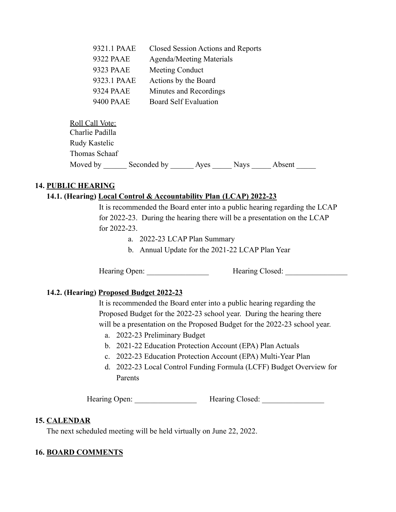| 9321.1 PAAE      | Closed Session Actions and Reports |
|------------------|------------------------------------|
| 9322 PAAE        | <b>Agenda/Meeting Materials</b>    |
| 9323 PAAE        | Meeting Conduct                    |
| 9323.1 PAAE      | Actions by the Board               |
| 9324 PAAE        | Minutes and Recordings             |
| <b>9400 PAAE</b> | <b>Board Self Evaluation</b>       |
|                  |                                    |

| Roll Call Vote: |             |      |             |        |  |
|-----------------|-------------|------|-------------|--------|--|
| Charlie Padilla |             |      |             |        |  |
| Rudy Kastelic   |             |      |             |        |  |
| Thomas Schaaf   |             |      |             |        |  |
| Moved by        | Seconded by | Aves | <b>Nays</b> | Absent |  |

### **14. PUBLIC HEARING**

### **14.1. (Hearing) Local Control & Accountability Plan (LCAP) 2022-23**

It is recommended the Board enter into a public hearing regarding the LCAP for 2022-23. During the hearing there will be a presentation on the LCAP for 2022-23.

- a. 2022-23 LCAP Plan Summary
- b. Annual Update for the 2021-22 LCAP Plan Year

Hearing Open: **Hearing Closed: Hearing Closed:** 

### **14.2. (Hearing) Proposed Budget 2022-23**

It is recommended the Board enter into a public hearing regarding the Proposed Budget for the 2022-23 school year. During the hearing there will be a presentation on the Proposed Budget for the 2022-23 school year.

- a. 2022-23 Preliminary Budget
- b. 2021-22 Education Protection Account (EPA) Plan Actuals
- c. 2022-23 Education Protection Account (EPA) Multi-Year Plan
- d. 2022-23 Local Control Funding Formula (LCFF) Budget Overview for Parents

Hearing Open: **Hearing Closed: Hearing Closed:** 

### **15. CALENDAR**

The next scheduled meeting will be held virtually on June 22, 2022.

### **16. BOARD COMMENTS**